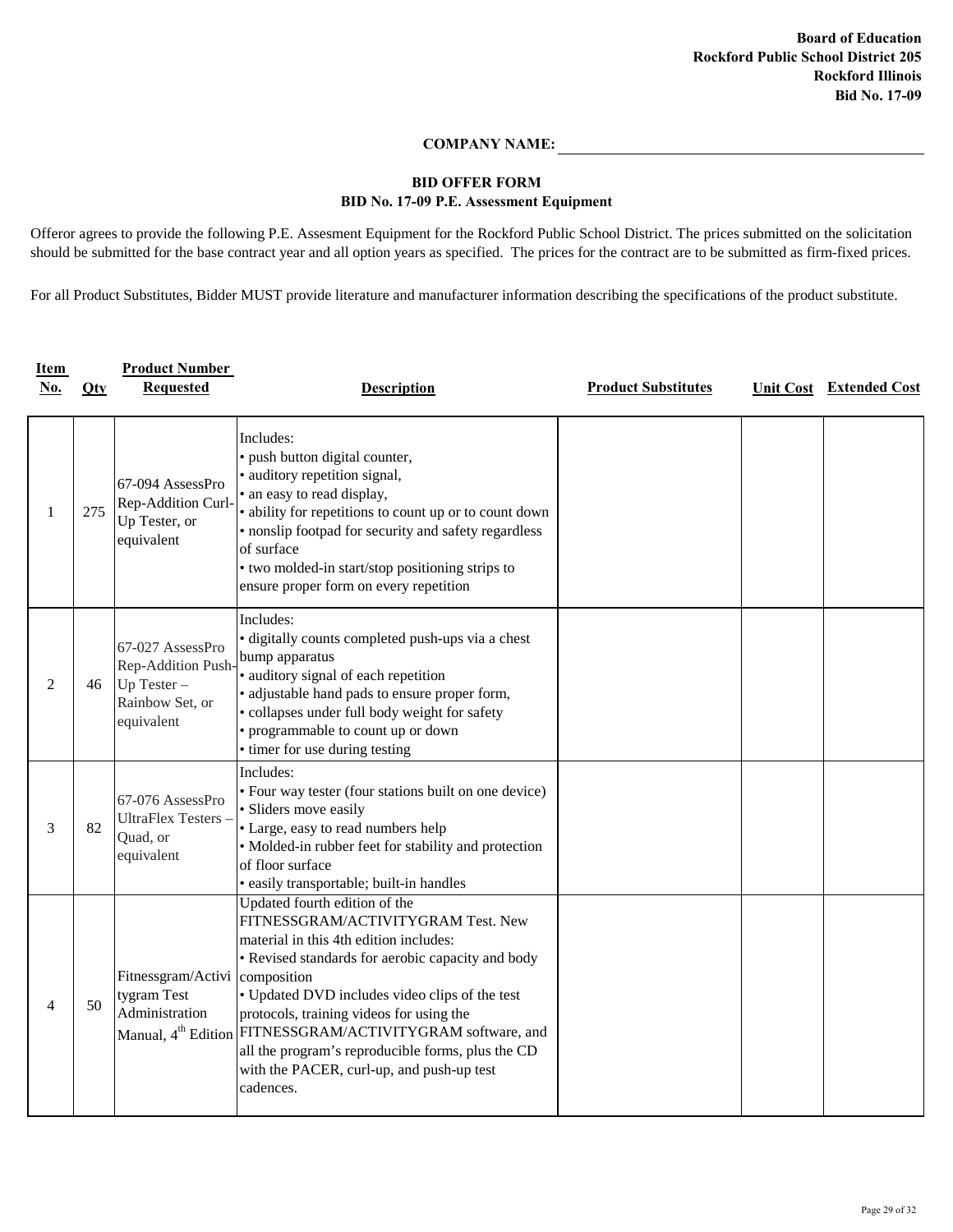## **COMPANY NAME:**

## **BID No. 17-09 P.E. Assessment Equipment BID OFFER FORM**

Offeror agrees to provide the following P.E. Assesment Equipment for the Rockford Public School District. The prices submitted on the solicitation should be submitted for the base contract year and all option years as specified. The prices for the contract are to be submitted as firm-fixed prices.

For all Product Substitutes, Bidder MUST provide literature and manufacturer information describing the specifications of the product substitute.

| <b>Item</b><br><u>No.</u> | $Q$ ty | <b>Product Number</b><br><b>Requested</b>                                                  | <b>Description</b>                                                                                                                                                                                                                                                                                                                                                                                                                                        | <b>Product Substitutes</b> | <b>Unit Cost</b> Extended Cost |
|---------------------------|--------|--------------------------------------------------------------------------------------------|-----------------------------------------------------------------------------------------------------------------------------------------------------------------------------------------------------------------------------------------------------------------------------------------------------------------------------------------------------------------------------------------------------------------------------------------------------------|----------------------------|--------------------------------|
|                           | 275    | 67-094 AssessPro<br>Rep-Addition Curl-<br>Up Tester, or<br>equivalent                      | Includes:<br>· push button digital counter,<br>· auditory repetition signal,<br>• an easy to read display,<br>• ability for repetitions to count up or to count down<br>· nonslip footpad for security and safety regardless<br>of surface<br>• two molded-in start/stop positioning strips to<br>ensure proper form on every repetition                                                                                                                  |                            |                                |
| $\overline{2}$            | 46     | 67-027 AssessPro<br>Rep-Addition Push-<br>$Up$ Tester $-$<br>Rainbow Set, or<br>equivalent | Includes:<br>• digitally counts completed push-ups via a chest<br>bump apparatus<br>· auditory signal of each repetition<br>· adjustable hand pads to ensure proper form,<br>· collapses under full body weight for safety<br>• programmable to count up or down<br>• timer for use during testing                                                                                                                                                        |                            |                                |
| 3                         | 82     | 67-076 AssessPro<br>UltraFlex Testers-<br>Quad, or<br>equivalent                           | Includes:<br>• Four way tester (four stations built on one device)<br>· Sliders move easily<br>• Large, easy to read numbers help<br>• Molded-in rubber feet for stability and protection<br>of floor surface<br>· easily transportable; built-in handles                                                                                                                                                                                                 |                            |                                |
| 4                         | 50     | Fitnessgram/Activi composition<br>tygram Test<br>Administration                            | Updated fourth edition of the<br>FITNESSGRAM/ACTIVITYGRAM Test. New<br>material in this 4th edition includes:<br>• Revised standards for aerobic capacity and body<br>• Updated DVD includes video clips of the test<br>protocols, training videos for using the<br>Manual, 4 <sup>th</sup> Edition FITNESSGRAM/ACTIVITYGRAM software, and<br>all the program's reproducible forms, plus the CD<br>with the PACER, curl-up, and push-up test<br>cadences. |                            |                                |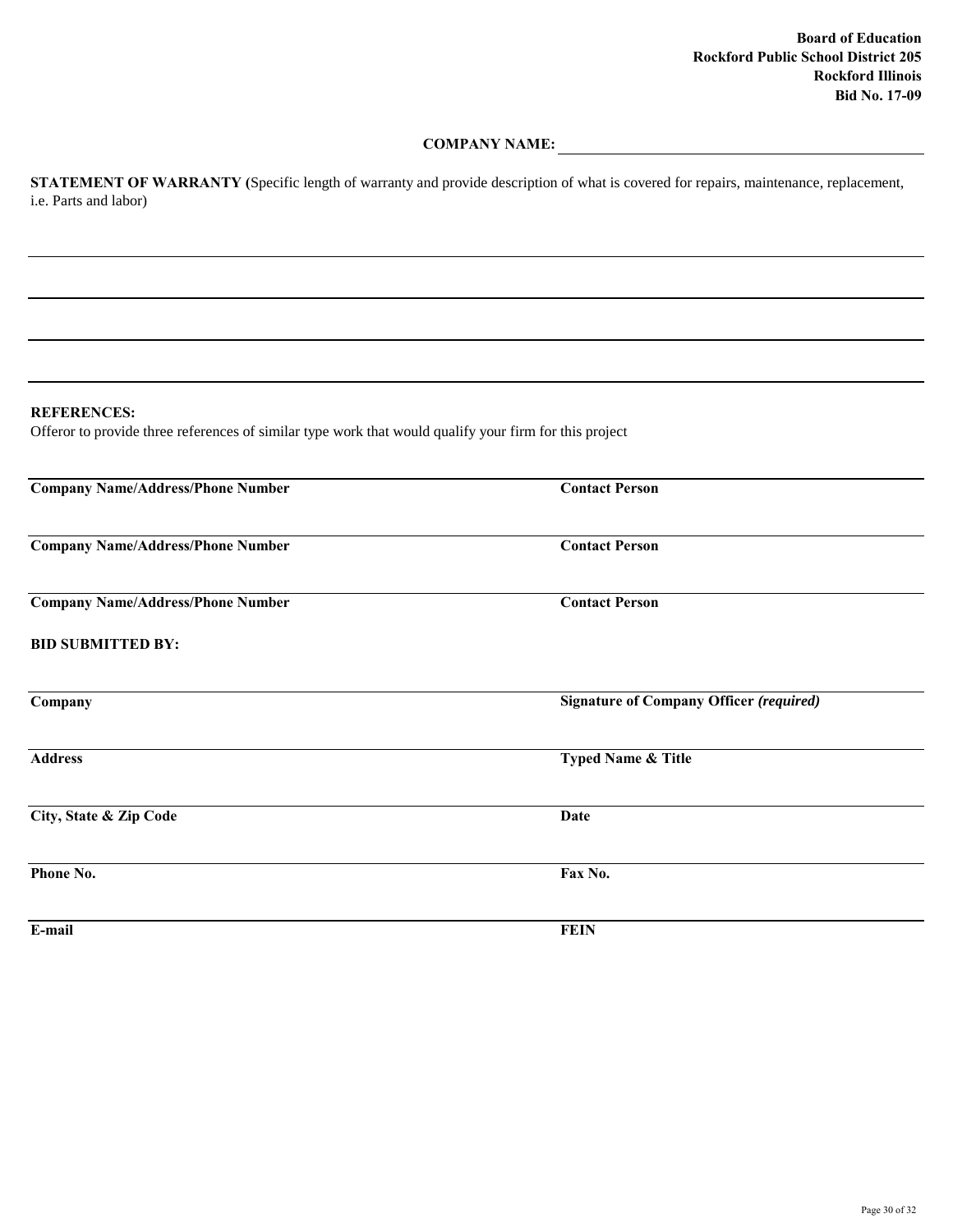### **COMPANY NAME:**

**STATEMENT OF WARRANTY (**Specific length of warranty and provide description of what is covered for repairs, maintenance, replacement, i.e. Parts and labor)

## **REFERENCES:**

Offeror to provide three references of similar type work that would qualify your firm for this project

| <b>Company Name/Address/Phone Number</b> | <b>Contact Person</b>                          |
|------------------------------------------|------------------------------------------------|
| <b>Company Name/Address/Phone Number</b> | <b>Contact Person</b>                          |
| <b>Company Name/Address/Phone Number</b> | <b>Contact Person</b>                          |
| <b>BID SUBMITTED BY:</b>                 |                                                |
| Company                                  | <b>Signature of Company Officer (required)</b> |
| <b>Address</b>                           | <b>Typed Name &amp; Title</b>                  |
| City, State & Zip Code                   | <b>Date</b>                                    |
| Phone No.                                | Fax No.                                        |
| E-mail                                   | <b>FEIN</b>                                    |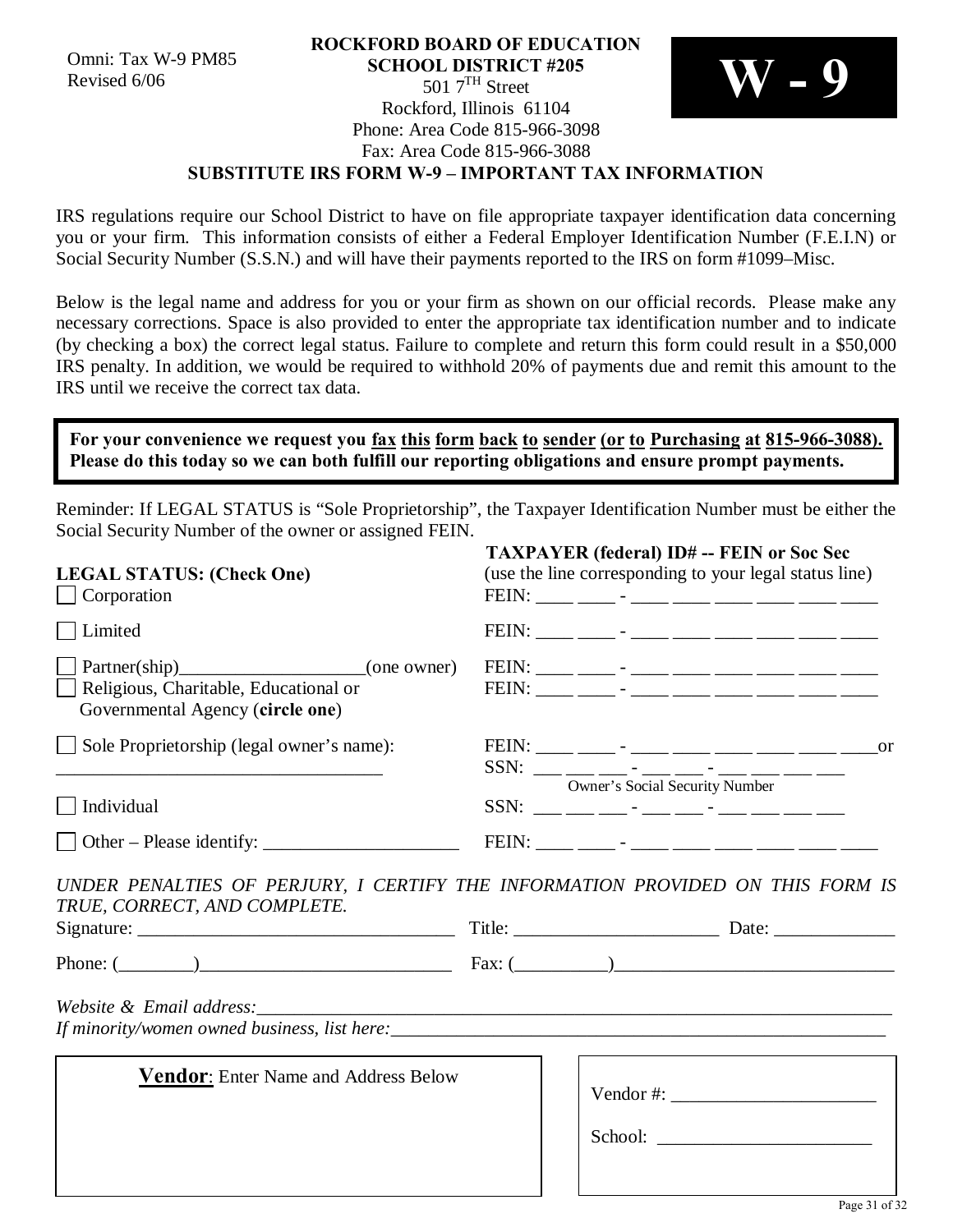#### **ROCKFORD BOARD OF EDUCATION SCHOOL DISTRICT #205**  $5017^{\text{TH}}$  Street Rockford, Illinois 61104 Phone: Area Code 815-966-3098 Fax: Area Code 815-966-3088 **SUBSTITUTE IRS FORM W-9 – IMPORTANT TAX INFORMATION** Omni: Tax W-9 PM85<br>
Revised 6/06<br> **SCHOOL DISTRICT #205**<br> **SCHOOL DISTRICT #205**<br> **SCHOOL DISTRICT #205**<br> **SCHOOL DISTRICT #205**



# IRS regulations require our School District to have on file appropriate taxpayer identification data concerning

you or your firm. This information consists of either a Federal Employer Identification Number (F.E.I.N) or Social Security Number (S.S.N.) and will have their payments reported to the IRS on form #1099–Misc.

Below is the legal name and address for you or your firm as shown on our official records. Please make any necessary corrections. Space is also provided to enter the appropriate tax identification number and to indicate (by checking a box) the correct legal status. Failure to complete and return this form could result in a \$50,000 IRS penalty. In addition, we would be required to withhold 20% of payments due and remit this amount to the IRS until we receive the correct tax data.

## **For your convenience we request you fax this form back to sender (or to Purchasing at 815-966-3088). Please do this today so we can both fulfill our reporting obligations and ensure prompt payments.**

Reminder: If LEGAL STATUS is "Sole Proprietorship", the Taxpayer Identification Number must be either the Social Security Number of the owner or assigned FEIN.

| <b>LEGAL STATUS: (Check One)</b><br>$\Box$ Corporation                                                                                                            | <b>TAXPAYER (federal) ID# -- FEIN or Soc Sec</b><br>(use the line corresponding to your legal status line)<br>$\begin{tabular}{c} FEIN: \begin{tabular}{@{}c@{}} \quad {\bf \textcolor{red}{\bf \textcolor{blue}{\bf \textcolor{blue}{\bf \textcolor{blue}{\bf \textcolor{blue}{\bf \textcolor{blue}{\bf \textcolor{blue}{\bf \textcolor{blue}{\bf \textcolor{blue}{\bf \textcolor{blue}{\bf \textcolor{blue}{\bf \textcolor{blue}{\bf \textcolor{blue}{\bf \textcolor{blue}{\bf \textcolor{blue}{\bf \textcolor{blue}{\bf \textcolor{blue}{\bf \textcolor{blue}{\bf \textcolor{blue}{\bf \textcolor{blue}{\bf \textcolor{blue}{\bf \textcolor{blue}{\bf \textcolor{blue}{\bf \textcolor{blue}{\bf$ |                                |                                                                                                                                                                                                                                                                                                                                                                                                                                                                                                                                                                                       |  |
|-------------------------------------------------------------------------------------------------------------------------------------------------------------------|-----------------------------------------------------------------------------------------------------------------------------------------------------------------------------------------------------------------------------------------------------------------------------------------------------------------------------------------------------------------------------------------------------------------------------------------------------------------------------------------------------------------------------------------------------------------------------------------------------------------------------------------------------------------------------------------------------|--------------------------------|---------------------------------------------------------------------------------------------------------------------------------------------------------------------------------------------------------------------------------------------------------------------------------------------------------------------------------------------------------------------------------------------------------------------------------------------------------------------------------------------------------------------------------------------------------------------------------------|--|
| Limited                                                                                                                                                           |                                                                                                                                                                                                                                                                                                                                                                                                                                                                                                                                                                                                                                                                                                     |                                | $\begin{tabular}{c} FEIN: \begin{tabular}{@{}c@{}} \quad {\bf \textcolor{red}{\bf \textcolor{blue}{\bf \textcolor{blue}{\bf \textcolor{blue}{\bf \textcolor{blue}{\bf \textcolor{blue}{\bf \textcolor{blue}{\bf \textcolor{blue}{\bf \textcolor{blue}{\bf \textcolor{blue}{\bf \textcolor{blue}{\bf \textcolor{blue}{\bf \textcolor{blue}{\bf \textcolor{blue}{\bf \textcolor{blue}{\bf \textcolor{blue}{\bf \textcolor{blue}{\bf \textcolor{blue}{\bf \textcolor{blue}{\bf \textcolor{blue}{\bf \textcolor{blue}{\bf \textcolor{blue}{\bf \textcolor{blue}{\bf \textcolor{blue}{\bf$ |  |
| Partner(ship) (one owner)<br>Religious, Charitable, Educational or<br>Governmental Agency (circle one)                                                            |                                                                                                                                                                                                                                                                                                                                                                                                                                                                                                                                                                                                                                                                                                     |                                | $\begin{tabular}{c} FEIN: \begin{tabular}{@{}c@{}} \quad {\bf \textcolor{red}{\bf \textcolor{blue}{\bf \textcolor{blue}{\bf \textcolor{blue}{\bf \textcolor{blue}{\bf \textcolor{blue}{\bf \textcolor{blue}{\bf \textcolor{blue}{\bf \textcolor{blue}{\bf \textcolor{blue}{\bf \textcolor{blue}{\bf \textcolor{blue}{\bf \textcolor{blue}{\bf \textcolor{blue}{\bf \textcolor{blue}{\bf \textcolor{blue}{\bf \textcolor{blue}{\bf \textcolor{blue}{\bf \textcolor{blue}{\bf \textcolor{blue}{\bf \textcolor{blue}{\bf \textcolor{blue}{\bf \textcolor{blue}{\bf \textcolor{blue}{\bf$ |  |
| Sole Proprietorship (legal owner's name):<br><u> 1989 - Johann Stein, marwolaethau a bhann an t-Amhair an t-Amhair an t-Amhair an t-Amhair an t-Amhair an t-A</u> |                                                                                                                                                                                                                                                                                                                                                                                                                                                                                                                                                                                                                                                                                                     |                                |                                                                                                                                                                                                                                                                                                                                                                                                                                                                                                                                                                                       |  |
| $\Box$ Individual                                                                                                                                                 |                                                                                                                                                                                                                                                                                                                                                                                                                                                                                                                                                                                                                                                                                                     | Owner's Social Security Number |                                                                                                                                                                                                                                                                                                                                                                                                                                                                                                                                                                                       |  |
| $\Box$ Other – Please identify:                                                                                                                                   |                                                                                                                                                                                                                                                                                                                                                                                                                                                                                                                                                                                                                                                                                                     |                                |                                                                                                                                                                                                                                                                                                                                                                                                                                                                                                                                                                                       |  |
| UNDER PENALTIES OF PERJURY, I CERTIFY THE INFORMATION PROVIDED ON THIS FORM IS<br>TRUE, CORRECT, AND COMPLETE.                                                    |                                                                                                                                                                                                                                                                                                                                                                                                                                                                                                                                                                                                                                                                                                     |                                | Title: Date: Date:                                                                                                                                                                                                                                                                                                                                                                                                                                                                                                                                                                    |  |
| Phone: $(\_\_\_\_\_$                                                                                                                                              |                                                                                                                                                                                                                                                                                                                                                                                                                                                                                                                                                                                                                                                                                                     |                                |                                                                                                                                                                                                                                                                                                                                                                                                                                                                                                                                                                                       |  |
| <b>Vendor:</b> Enter Name and Address Below                                                                                                                       |                                                                                                                                                                                                                                                                                                                                                                                                                                                                                                                                                                                                                                                                                                     |                                | Vendor #: $\frac{1}{2}$                                                                                                                                                                                                                                                                                                                                                                                                                                                                                                                                                               |  |